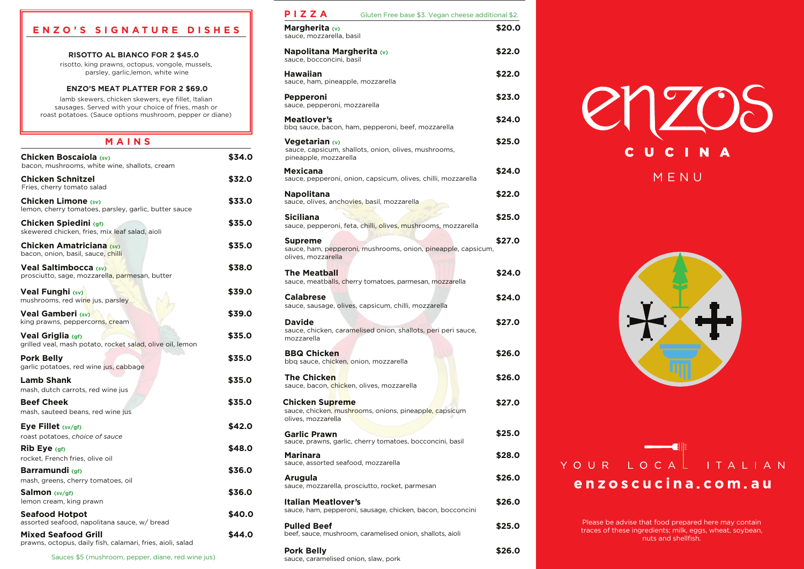| PIZZA<br>Gluten Free base \$3. Vegan cheese additional \$2.                                            |        |
|--------------------------------------------------------------------------------------------------------|--------|
| Margherita (v)<br>sauce, mozzarella, basil                                                             | \$20.0 |
| Napolitana Margherita (v)<br>sauce, bocconcini, basil                                                  | \$22.0 |
| <b>Hawaiian</b><br>sauce, ham, pineapple, mozzarella                                                   | \$22.0 |
| Pepperoni<br>sauce, pepperoni, mozzarella                                                              | \$23.0 |
| <b>Meatlover's</b><br>bbq sauce, bacon, ham, pepperoni, beef, mozzarella                               | \$24.0 |
| <b>Vegetarian (v)</b><br>sauce, capsicum, shallots, onion, olives, mushrooms,<br>pineapple, mozzarella | \$25.0 |
| <b>Mexicana</b><br>sauce, pepperoni, onion, capsicum, olives, chilli, mozzarella                       | \$24.0 |
| <b>Napolitana</b><br>sauce, olives, anchovies, basil, mozzarella                                       | \$22.0 |
| <b>Siciliana</b><br>sauce, pepperoni, feta, chilli, olives, mushrooms, mozzarella                      | \$25.0 |
| <b>Supreme</b><br>sauce, ham, pepperoni, mushrooms, onion, pineapple, capsicum,<br>olives, mozzarella  | \$27.0 |
| <b>The Meatball</b><br>sauce, meatballs, cherry tomatoes, parmesan, mozzarella                         | \$24.0 |
| <b>Calabrese</b><br>sauce, sausage, olives, capsicum, chilli, mozzarella                               | \$24.0 |
| <b>Davide</b><br>sauce, chicken, caramelised onion, shallots, peri peri sauce,<br>mozzarella           | \$27.0 |
| <b>BBQ Chicken</b><br>bbq sauce, chicken, onion, mozzarella                                            | \$26.0 |
| <b>The Chicken</b><br>sauce, bacon, chicken, olives, mozzarella                                        | \$26.0 |
| <b>Chicken Supreme</b><br>sauce, chicken, mushrooms, onions, pineapple, capsicum<br>olives, mozzarella | \$27.0 |
| <b>Garlic Prawn</b><br>sauce, prawns, garlic, cherry tomatoes, bocconcini, basil                       | \$25.0 |
| Marinara<br>sauce, assorted seafood, mozzarella                                                        | \$28.0 |
| <b>Arugula</b><br>sauce, mozzarella, prosciutto, rocket, parmesan                                      | \$26.0 |
| <b>Italian Meatlover's</b><br>sauce, ham, pepperoni, sausage, chicken, bacon, bocconcini               | \$26.0 |
| <b>Pulled Beef</b><br>beef, sauce, mushroom, caramelised onion, shallots, aioli                        | \$25.0 |
| <b>Pork Belly</b><br>sauce, caramelised onion, slaw, pork                                              | \$26.0 |



# YOUR LOCAL ITALIAN enzoscucina.com.au

# **M A I N S Chicken Boscaiola (sv) \$34.0** bacon, mushrooms, white wine, shallots, cream **Chicken Schnitzel \$32.0** Fries, cherry tomato salad **Chicken Limone** (sv) **\$33.0** lemon, cherry tomatoes, parsley, garlic, butter sauce **Chicken Spiedini (gf) \$35.0** skewered chicken, fries, mix leaf salad, aioli **Chicken Amatriciana** (sv) **\$35.0** bacon, onion, basil, sauce, chilli **Veal Saltimbocca** (sv) **338.0** prosciutto, sage, mozzarella, parmesan, butter **Veal Funghi (sv) \$39.0** mushrooms, red wine jus, parsley **Veal Gamberi (sv) And Accord (sv) \$39.0 Veal Griglia (gf) \$35.0** grilled veal, mash potato, rocket salad, olive oil, lemon **Pork Belly 335.0** garlic potatoes, red wine jus, cabbage **Lamb Shank \$35.0** mash, dutch carrots, red wine jus **Beef Cheek \$35.0** mash, sauteed beans, red wine jus **Eye Fillet (sv/gf) \$42.0** roast potatoes, *choice of sauce* **Rib Eye (gf) \$48.0** rocket, French fries, olive oil **Barramundi (gf) \$36.0** mash, greens, cherry tomatoes, oil **Salmon (sv/gf) \$36.0** lemon cream, king prawn **Seafood Hotpot 640.0** assorted seafood, napolitana sauce, w/ bread prawns, octopus, daily fish, calamari, fries, aioli, salad Mixed Seafood Grill **\$44.0** king prawns, peppercorns, cream





# **E N Z O ' S S I G N A T U R E D I S H E S**

#### **RISOTTO AL BIANCO FOR 2 \$45.0**

risotto, king prawns, octopus, vongole, mussels, parsley, garlic,lemon, white wine

lamb skewers, chicken skewers, eye fillet, Italian sausages. Served with your choice of fries, mash or roast potatoes. (Sauce options mushroom, pepper or diane)

#### **ENZO'S MEAT PLATTER FOR 2 \$69.0**

Sauces \$5 (mushroom, pepper, diane, red wine jus)

Please be advise that food prepared here may contain traces of these ingredients; milk, eggs, wheat, soybean, nuts and shellfish.